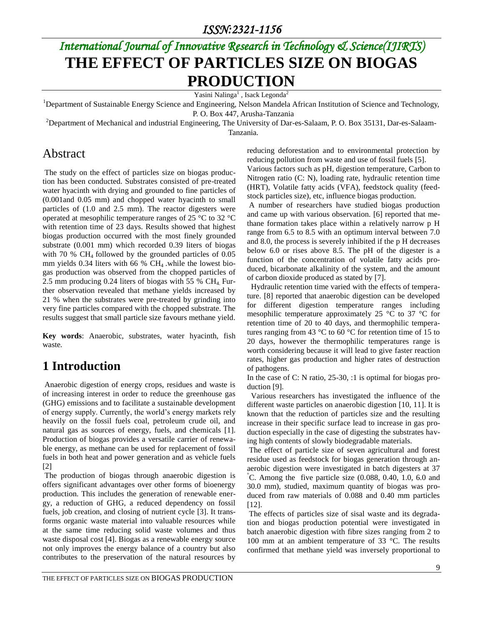# *International Journal of Innovative Research in Technology & Science(IJIRTS)* **THE EFFECT OF PARTICLES SIZE ON BIOGAS PRODUCTION**

Yasini Nalinga<sup>1</sup>, Isack Legonda<sup>2</sup>

<sup>1</sup>Department of Sustainable Energy Science and Engineering, Nelson Mandela African Institution of Science and Technology, P. O. Box 447, Arusha-Tanzania

 $2D$ epartment of Mechanical and industrial Engineering, The University of Dar-es-Salaam, P. O. Box 35131, Dar-es-Salaam-Tanzania.

### Abstract

The study on the effect of particles size on biogas production has been conducted. Substrates consisted of pre-treated water hyacinth with drying and grounded to fine particles of (0.001and 0.05 mm) and chopped water hyacinth to small particles of (1.0 and 2.5 mm). The reactor digesters were operated at mesophilic temperature ranges of 25 °C to 32 °C with retention time of 23 days. Results showed that highest biogas production occurred with the most finely grounded substrate (0.001 mm) which recorded 0.39 liters of biogas with 70 %  $CH<sub>4</sub>$  followed by the grounded particles of 0.05 mm yields 0.34 liters with 66 %  $CH<sub>4</sub>$  while the lowest biogas production was observed from the chopped particles of 2.5 mm producing 0.24 liters of biogas with 55 %  $CH<sub>4</sub>$ . Further observation revealed that methane yields increased by 21 % when the substrates were pre-treated by grinding into very fine particles compared with the chopped substrate. The results suggest that small particle size favours methane yield.

**Key words**: Anaerobic, substrates, water hyacinth, fish waste*.*

## **1 Introduction**

Anaerobic digestion of energy crops, residues and waste is of increasing interest in order to reduce the greenhouse gas (GHG) emissions and to facilitate a sustainable development of energy supply. Currently, the world's energy markets rely heavily on the fossil fuels coal, petroleum crude oil, and natural gas as sources of energy, fuels, and chemicals [\[1\]](#page-4-0). Production of biogas provides a versatile carrier of renewable energy, as methane can be used for replacement of fossil fuels in both heat and power generation and as vehicle fuels [\[2\]](#page-4-1)

The production of biogas through anaerobic digestion is offers significant advantages over other forms of bioenergy production. This includes the generation of renewable energy, a reduction of GHG, a reduced dependency on fossil fuels, job creation, and closing of nutrient cycle [\[3\]](#page-4-2). It transforms organic waste material into valuable resources while at the same time reducing solid waste volumes and thus waste disposal cost [\[4\]](#page-4-3). Biogas as a renewable energy source not only improves the energy balance of a country but also contributes to the preservation of the natural resources by

reducing deforestation and to environmental protection by reducing pollution from waste and use of fossil fuels [\[5\]](#page-4-4).

Various factors such as pH, digestion temperature, Carbon to Nitrogen ratio (C: N), loading rate, hydraulic retention time (HRT), Volatile fatty acids (VFA), feedstock quality (feedstock particles size), etc, influence biogas production.

A number of researchers have studied biogas production and came up with various observation. [\[6\]](#page-4-5) reported that methane formation takes place within a relatively narrow p H range from 6.5 to 8.5 with an optimum interval between 7.0 and 8.0, the process is severely inhibited if the p H decreases below 6.0 or rises above 8.5. The pH of the digester is a function of the concentration of volatile fatty acids produced, bicarbonate alkalinity of the system, and the amount of carbon dioxide produced as stated by [\[7\]](#page-4-6).

 Hydraulic retention time varied with the effects of temperature. [\[8\]](#page-4-7) reported that anaerobic digestion can be developed for different digestion temperature ranges including mesophilic temperature approximately 25 °C to 37 °C for retention time of 20 to 40 days, and thermophilic temperatures ranging from 43 °C to 60 °C for retention time of 15 to 20 days, however the thermophilic temperatures range is worth considering because it will lead to give faster reaction rates, higher gas production and higher rates of destruction of pathogens.

In the case of C: N ratio, 25-30, :1 is optimal for biogas production [\[9\]](#page-4-8).

 Various researchers has investigated the influence of the different waste particles on anaerobic digestion [\[10,](#page-4-9) [11\]](#page-4-10). It is known that the reduction of particles size and the resulting increase in their specific surface lead to increase in gas production especially in the case of digesting the substrates having high contents of slowly biodegradable materials.

The effect of particle size of seven agricultural and forest residue used as feedstock for biogas generation through anaerobic digestion were investigated in batch digesters at 37  $^{\circ}$ C. Among the five particle size (0.088, 0.40, 1.0, 6.0 and 30.0 mm), studied, maximum quantity of biogas was produced from raw materials of 0.088 and 0.40 mm particles [\[12\]](#page-4-11).

The effects of particles size of sisal waste and its degradation and biogas production potential were investigated in batch anaerobic digestion with fibre sizes ranging from 2 to 100 mm at an ambient temperature of 33 °C. The results confirmed that methane yield was inversely proportional to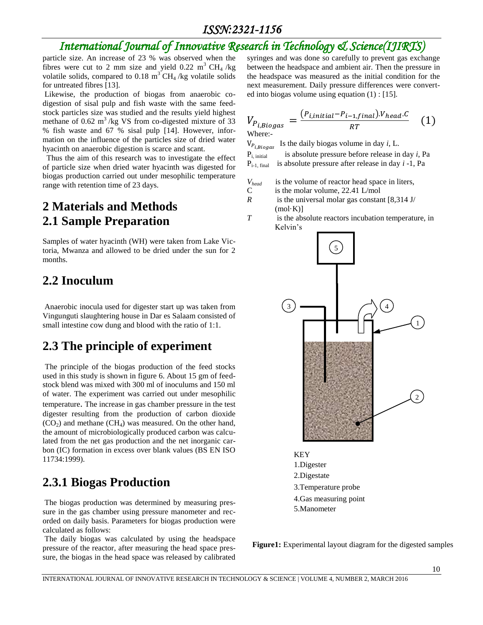### *ISSN:2321-1156*

## *International Journal of Innovative Research in Technology & Science(IJIRTS)*

particle size. An increase of 23 % was observed when the fibres were cut to 2 mm size and yield 0.22 m<sup>3</sup> CH<sub>4</sub> /kg volatile solids, compared to  $0.18 \text{ m}^3 \text{ CH}_4$ /kg volatile solids for untreated fibres [\[13\]](#page-4-12).

Likewise, the production of biogas from anaerobic codigestion of sisal pulp and fish waste with the same feedstock particles size was studied and the results yield highest methane of  $0.62 \text{ m}^3/\text{kg}$  VS from co-digested mixture of 33 % fish waste and 67 % sisal pulp [\[14\]](#page-4-13). However, information on the influence of the particles size of dried water hyacinth on anaerobic digestion is scarce and scant.

 Thus the aim of this research was to investigate the effect of particle size when dried water hyacinth was digested for biogas production carried out under mesophilic temperature range with retention time of 23 days.

## **2 Materials and Methods 2.1 Sample Preparation**

Samples of water hyacinth (WH) were taken from Lake Victoria, Mwanza and allowed to be dried under the sun for 2 months.

### **2.2 Inoculum**

Anaerobic inocula used for digester start up was taken from Vingunguti slaughtering house in Dar es Salaam consisted of small intestine cow dung and blood with the ratio of 1:1.

## **2.3 The principle of experiment**

The principle of the biogas production of the feed stocks used in this study is shown in figure 6. About 15 gm of feedstock blend was mixed with 300 ml of inoculums and 150 ml of water. The experiment was carried out under mesophilic temperature. The increase in gas chamber pressure in the test digester resulting from the production of carbon dioxide  $(CO<sub>2</sub>)$  and methane  $(CH<sub>4</sub>)$  was measured. On the other hand, the amount of microbiologically produced carbon was calculated from the net gas production and the net inorganic carbon (IC) formation in excess over blank values (BS EN ISO 11734:1999).

## **2.3.1 Biogas Production**

The biogas production was determined by measuring pressure in the gas chamber using pressure manometer and recorded on daily basis. Parameters for biogas production were calculated as follows:

The daily biogas was calculated by using the headspace pressure of the reactor, after measuring the head space pressure, the biogas in the head space was released by calibrated syringes and was done so carefully to prevent gas exchange between the headspace and ambient air. Then the pressure in the headspace was measured as the initial condition for the next measurement. Daily pressure differences were converted into biogas volume using equation (1) : [\[15\]](#page-4-14).

$$
V_{P_{i,Biogas}} = \frac{(P_{i,initial} - P_{i-1,final}) \cdot V_{head} \cdot C}{RT}
$$
 (1)

Where:-

 $V_{P_{i, Biogas}}$  Is the daily biogas volume in day *i*, L.

Pi, initial is absolute pressure before release in day *i*, Pa Pi-1, final is absolute pressure after release in day *i* -1, Pa

*Vhead* is the volume of reactor head space in liters,

- C is the molar volume,  $22.41$  L/mol
- *R* is the universal molar gas constant [8,314 J/  $(mol·K)$ ]
- *T* is the absolute reactors incubation temperature, in Kelvin's



KEY 1.Digester 2.Digestate 3.Temperature probe 4.Gas measuring point 5.Manometer

**Figure1:** Experimental layout diagram for the digested samples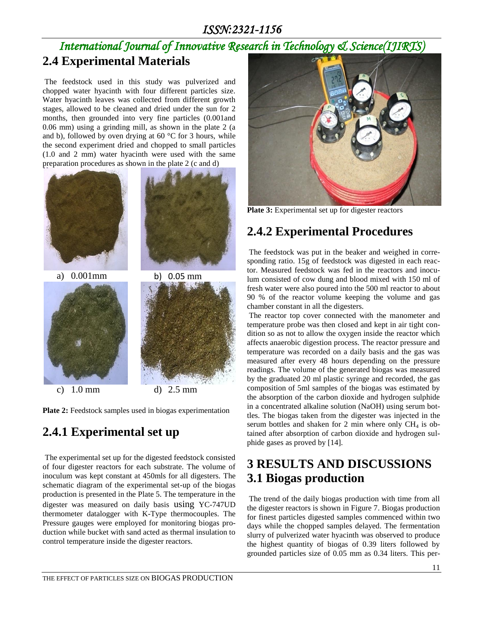### *ISSN:2321-1156*

## *International Journal of Innovative Research in Technology & Science(IJIRTS)* **2.4 Experimental Materials**

The feedstock used in this study was pulverized and chopped water hyacinth with four different particles size. Water hyacinth leaves was collected from different growth stages, allowed to be cleaned and dried under the sun for 2 months, then grounded into very fine particles (0.001and 0.06 mm) using a grinding mill, as shown in the plate 2 (a and b), followed by oven drying at  $60^{\circ}$ C for 3 hours, while the second experiment dried and chopped to small particles (1.0 and 2 mm) water hyacinth were used with the same preparation procedures as shown in the plate 2 (c and d)



**Plate 2:** Feedstock samples used in biogas experimentation

## **2.4.1 Experimental set up**

The experimental set up for the digested feedstock consisted of four digester reactors for each substrate. The volume of inoculum was kept constant at 450mls for all digesters. The schematic diagram of the experimental set-up of the biogas production is presented in the Plate 5. The temperature in the digester was measured on daily basis using YC-747UD thermometer datalogger with K-Type thermocouples. The Pressure gauges were employed for monitoring biogas production while bucket with sand acted as thermal insulation to control temperature inside the digester reactors.



**Plate 3:** Experimental set up for digester reactors

## **2.4.2 Experimental Procedures**

The feedstock was put in the beaker and weighed in corresponding ratio. 15g of feedstock was digested in each reactor. Measured feedstock was fed in the reactors and inoculum consisted of cow dung and blood mixed with 150 ml of fresh water were also poured into the 500 ml reactor to about 90 % of the reactor volume keeping the volume and gas chamber constant in all the digesters.

The reactor top cover connected with the manometer and temperature probe was then closed and kept in air tight condition so as not to allow the oxygen inside the reactor which affects anaerobic digestion process. The reactor pressure and temperature was recorded on a daily basis and the gas was measured after every 48 hours depending on the pressure readings. The volume of the generated biogas was measured by the graduated 20 ml plastic syringe and recorded, the gas composition of 5ml samples of the biogas was estimated by the absorption of the carbon dioxide and hydrogen sulphide in a concentrated alkaline solution (NaOH) using serum bottles. The biogas taken from the digester was injected in the serum bottles and shaken for 2 min where only  $CH<sub>4</sub>$  is obtained after absorption of carbon dioxide and hydrogen sulphide gases as proved by [\[14\]](#page-4-13).

## **3 RESULTS AND DISCUSSIONS 3.1 Biogas production**

The trend of the daily biogas production with time from all the digester reactors is shown in Figure 7. Biogas production for finest particles digested samples commenced within two days while the chopped samples delayed. The fermentation slurry of pulverized water hyacinth was observed to produce the highest quantity of biogas of 0.39 liters followed by grounded particles size of 0.05 mm as 0.34 liters. This per-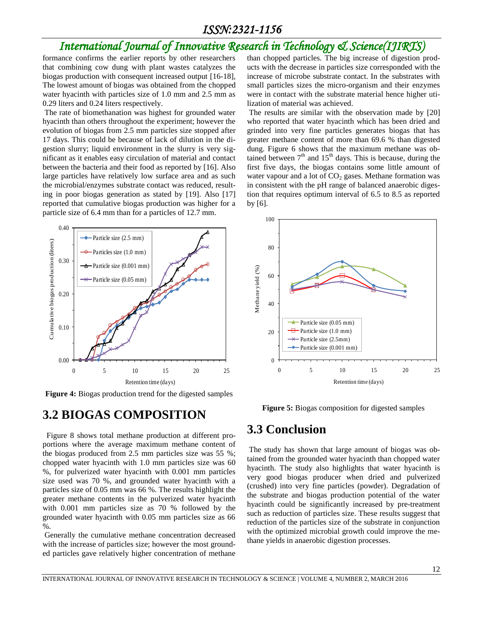#### *ISSN:2321-1156*

## *International Journal of Innovative Research in Technology & Science(IJIRTS)*

formance confirms the earlier reports by other researchers that combining cow dung with plant wastes catalyzes the biogas production with consequent increased output [\[16-18\]](#page-4-15), The lowest amount of biogas was obtained from the chopped water hyacinth with particles size of 1.0 mm and 2.5 mm as 0.29 liters and 0.24 liters respectively.

The rate of biomethanation was highest for grounded water hyacinth than others throughout the experiment; however the evolution of biogas from 2.5 mm particles size stopped after 17 days. This could be because of lack of dilution in the digestion slurry; liquid environment in the slurry is very significant as it enables easy circulation of material and contact between the bacteria and their food as reported by [\[16\]](#page-4-15). Also large particles have relatively low surface area and as such the microbial/enzymes substrate contact was reduced, resulting in poor biogas generation as stated by [\[19\]](#page-4-16). Also [\[17\]](#page-4-17) reported that cumulative biogas production was higher for a particle size of 6.4 mm than for a particles of 12.7 mm.



**Figure 4:** Biogas production trend for the digested samples

#### **3.2 BIOGAS COMPOSITION**

 Figure 8 shows total methane production at different proportions where the average maximum methane content of the biogas produced from 2.5 mm particles size was 55 %; chopped water hyacinth with 1.0 mm particles size was 60 %, for pulverized water hyacinth with 0.001 mm particles size used was 70 %, and grounded water hyacinth with a particles size of 0.05 mm was 66 %. The results highlight the greater methane contents in the pulverized water hyacinth with 0.001 mm particles size as 70 % followed by the grounded water hyacinth with 0.05 mm particles size as 66  $\%$ .

Generally the cumulative methane concentration decreased with the increase of particles size; however the most grounded particles gave relatively higher concentration of methane than chopped particles. The big increase of digestion products with the decrease in particles size corresponded with the increase of microbe substrate contact. In the substrates with small particles sizes the micro-organism and their enzymes were in contact with the substrate material hence higher utilization of material was achieved.

The results are similar with the observation made by [\[20\]](#page-4-18) who reported that water hyacinth which has been dried and grinded into very fine particles generates biogas that has greater methane content of more than 69.6 % than digested dung. Figure 6 shows that the maximum methane was obtained between  $7<sup>th</sup>$  and  $15<sup>th</sup>$  days. This is because, during the first five days, the biogas contains some little amount of water vapour and a lot of  $CO<sub>2</sub>$  gases. Methane formation was in consistent with the pH range of balanced anaerobic digestion that requires optimum interval of 6.5 to 8.5 as reported by [\[6\]](#page-4-5).



**Figure 5:** Biogas composition for digested samples

### **3.3 Conclusion**

The study has shown that large amount of biogas was obtained from the grounded water hyacinth than chopped water hyacinth. The study also highlights that water hyacinth is very good biogas producer when dried and pulverized (crushed) into very fine particles (powder). Degradation of the substrate and biogas production potential of the water hyacinth could be significantly increased by pre-treatment such as reduction of particles size. These results suggest that reduction of the particles size of the substrate in conjunction with the optimized microbial growth could improve the methane yields in anaerobic digestion processes.